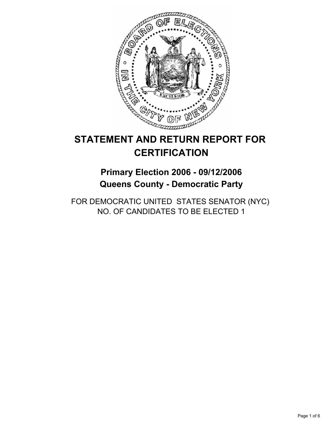

# **STATEMENT AND RETURN REPORT FOR CERTIFICATION**

**Primary Election 2006 - 09/12/2006 Queens County - Democratic Party**

FOR DEMOCRATIC UNITED STATES SENATOR (NYC) NO. OF CANDIDATES TO BE ELECTED 1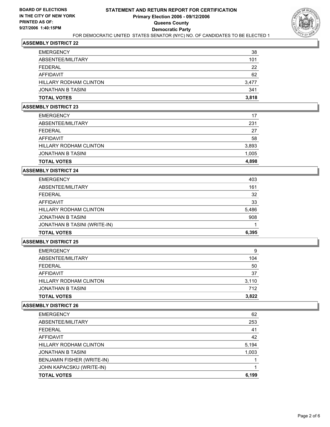

| <b>EMERGENCY</b><br>ABSENTEE/MILITARY | 38<br>101 |
|---------------------------------------|-----------|
| FEDERAL                               | 22        |
| AFFIDAVIT                             | 62        |
| <b>HILLARY RODHAM CLINTON</b>         | 3,477     |
| JONATHAN B TASINI                     | 341       |
| <b>TOTAL VOTES</b>                    | 3,818     |

#### **ASSEMBLY DISTRICT 23**

| <b>EMERGENCY</b>              | 17    |
|-------------------------------|-------|
| ABSENTEE/MILITARY             | 231   |
| FEDERAL                       | 27    |
| AFFIDAVIT                     | 58    |
| <b>HILLARY RODHAM CLINTON</b> | 3,893 |
| JONATHAN B TASINI             | 1,005 |
| <b>TOTAL VOTES</b>            | 4,898 |

## **ASSEMBLY DISTRICT 24**

| <b>EMERGENCY</b>              | 403   |
|-------------------------------|-------|
| ABSENTEE/MILITARY             | 161   |
| FEDERAL                       | 32    |
| AFFIDAVIT                     | 33    |
| <b>HILLARY RODHAM CLINTON</b> | 5,486 |
| JONATHAN B TASINI             | 908   |
| JONATHAN B TASINI (WRITE-IN)  |       |
| <b>TOTAL VOTES</b>            | 6,395 |

## **ASSEMBLY DISTRICT 25**

| JONATHAN B TASINI<br><b>TOTAL VOTES</b> | 712<br>3,822 |
|-----------------------------------------|--------------|
|                                         |              |
| HILLARY RODHAM CLINTON                  | 3,110        |
| <b>AFFIDAVIT</b>                        | 37           |
| <b>FEDERAL</b>                          | 50           |
| ABSENTEE/MILITARY                       | 104          |
| <b>EMERGENCY</b>                        | 9            |

| <b>EMERGENCY</b>              | 62    |
|-------------------------------|-------|
| ABSENTEE/MILITARY             | 253   |
| <b>FEDERAL</b>                | 41    |
| <b>AFFIDAVIT</b>              | 42    |
| <b>HILLARY RODHAM CLINTON</b> | 5,194 |
| <b>JONATHAN B TASINI</b>      | 1,003 |
| BENJAMIN FISHER (WRITE-IN)    |       |
| JOHN KAPACSKU (WRITE-IN)      |       |
| <b>TOTAL VOTES</b>            | 6,199 |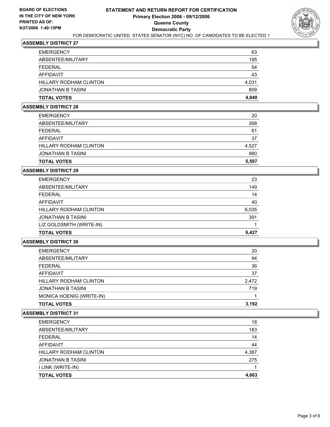

| JONATHAN B TASINI<br><b>TOTAL VOTES</b> | 809<br>4,840 |
|-----------------------------------------|--------------|
| <b>HILLARY RODHAM CLINTON</b>           | 4,031        |
| AFFIDAVIT                               | 43           |
| FEDERAL                                 | 54           |
| ABSENTEE/MILITARY                       | 195          |
| <b>EMERGENCY</b>                        | 63           |

#### **ASSEMBLY DISTRICT 28**

| <b>EMERGENCY</b>              | 20    |
|-------------------------------|-------|
| ABSENTEE/MILITARY             | 268   |
| <b>FEDERAL</b>                | 61    |
| AFFIDAVIT                     | 37    |
| <b>HILLARY RODHAM CLINTON</b> | 4,527 |
| JONATHAN B TASINI             | 980   |
| <b>TOTAL VOTES</b>            | 5,507 |

## **ASSEMBLY DISTRICT 29**

| <b>EMERGENCY</b>              | 23    |
|-------------------------------|-------|
| ABSENTEE/MILITARY             | 149   |
| <b>FEDERAL</b>                | 14    |
| AFFIDAVIT                     | 40    |
| <b>HILLARY RODHAM CLINTON</b> | 6,035 |
| JONATHAN B TASINI             | 391   |
| LIZ GOLDSMITH (WRITE-IN)      |       |
| <b>TOTAL VOTES</b>            | 6,427 |

## **ASSEMBLY DISTRICT 30**

| <b>EMERGENCY</b>              | 20    |
|-------------------------------|-------|
| ABSENTEE/MILITARY             | 94    |
| <b>FEDERAL</b>                | 36    |
| <b>AFFIDAVIT</b>              | 37    |
| <b>HILLARY RODHAM CLINTON</b> | 2,472 |
| <b>JONATHAN B TASINI</b>      | 719   |
| MONICA HOENIG (WRITE-IN)      |       |
| <b>TOTAL VOTES</b>            | 3,192 |

| 18    |
|-------|
| 183   |
| 14    |
| 44    |
| 4,387 |
| 275   |
|       |
| 4,663 |
|       |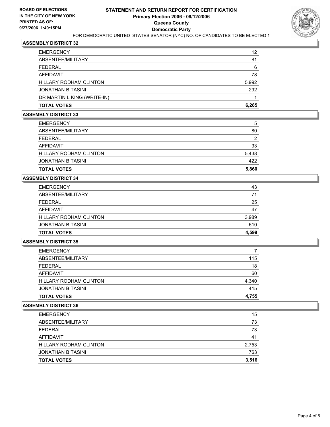

| <b>TOTAL VOTES</b>            | 6,285 |
|-------------------------------|-------|
| DR MARTIN L KING (WRITE-IN)   |       |
| JONATHAN B TASINI             | 292   |
| <b>HILLARY RODHAM CLINTON</b> | 5,992 |
| <b>AFFIDAVIT</b>              | 78    |
| FEDERAL                       | 6     |
| ABSENTEE/MILITARY             | 81    |
| <b>EMERGENCY</b>              | 12    |

## **ASSEMBLY DISTRICT 33**

| <b>EMERGENCY</b>       | 5     |
|------------------------|-------|
| ABSENTEE/MILITARY      | 80    |
| FFDFRAI                | 2     |
| AFFIDAVIT              | 33    |
| HILLARY RODHAM CLINTON | 5,438 |
| JONATHAN B TASINI      | 422   |
| <b>TOTAL VOTES</b>     | 5,860 |

# **ASSEMBLY DISTRICT 34**

| <b>EMERGENCY</b>         | 43    |
|--------------------------|-------|
| ABSENTEE/MILITARY        | 71    |
| FEDERAL                  | 25    |
| AFFIDAVIT                | 47    |
| HILLARY RODHAM CLINTON   | 3,989 |
| <b>JONATHAN B TASINI</b> | 610   |
| <b>TOTAL VOTES</b>       | 4,599 |

## **ASSEMBLY DISTRICT 35**

| <b>EMERGENCY</b>              |       |
|-------------------------------|-------|
| ABSENTEE/MILITARY             | 115   |
| FEDERAL                       | 18    |
| AFFIDAVIT                     | 60    |
| <b>HILLARY RODHAM CLINTON</b> | 4,340 |
| JONATHAN B TASINI             | 415   |
| <b>TOTAL VOTES</b>            | 4,755 |

| <b>TOTAL VOTES</b>     | 3,516 |
|------------------------|-------|
| JONATHAN B TASINI      | 763   |
| HILLARY RODHAM CLINTON | 2,753 |
| AFFIDAVIT              | 41    |
| <b>FEDERAL</b>         | 73    |
| ABSENTEE/MILITARY      | 73    |
| <b>EMERGENCY</b>       | 15    |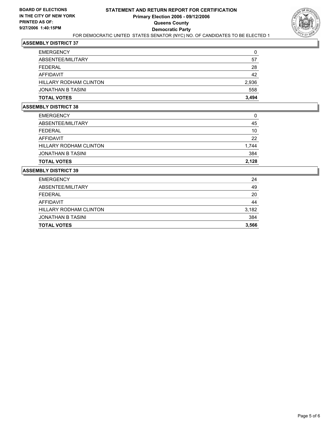

| <b>EMERGENCY</b>              | 0     |
|-------------------------------|-------|
| ABSENTEE/MILITARY             | 57    |
| FEDERAL                       | 28    |
| AFFIDAVIT                     | 42    |
| <b>HILLARY RODHAM CLINTON</b> | 2,936 |
| JONATHAN B TASINI             | 558   |
| <b>TOTAL VOTES</b>            | 3,494 |

## **ASSEMBLY DISTRICT 38**

| <b>TOTAL VOTES</b>     | 2.128 |
|------------------------|-------|
| JONATHAN B TASINI      | 384   |
| HILLARY RODHAM CLINTON | 1,744 |
| AFFIDAVIT              | 22    |
| FEDERAL                | 10    |
| ABSENTEE/MILITARY      | 45    |
| <b>EMERGENCY</b>       | 0     |

| <b>TOTAL VOTES</b>     | 3,566 |
|------------------------|-------|
| JONATHAN B TASINI      | 384   |
| HILLARY RODHAM CLINTON | 3,182 |
| AFFIDAVIT              | 44    |
| FEDERAL                | 20    |
| ABSENTEE/MILITARY      | 49    |
| <b>EMERGENCY</b>       | 24    |